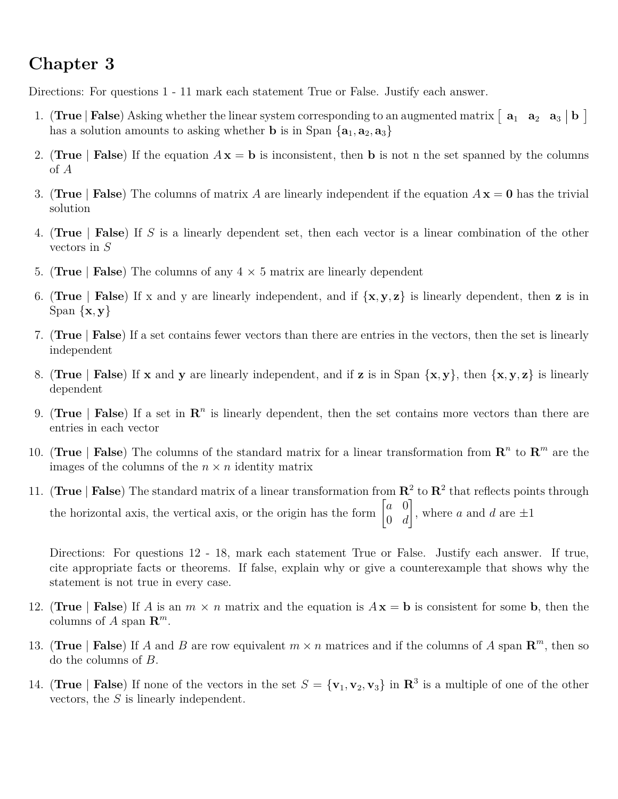## **Chapter 3**

Directions: For questions 1 - 11 mark each statement True or False. Justify each answer.

- 1. (True | **False**) Asking whether the linear system corresponding to an augmented matrix  $\begin{bmatrix} a_1 & a_2 & a_3 \end{bmatrix}$  **b** has a solution amounts to asking whether **b** is in Span  $\{a_1, a_2, a_3\}$
- 2. (**True** | **False**) If the equation  $A x = b$  is inconsistent, then b is not n the set spanned by the columns of *A*
- 3. (**True** | **False**) The columns of matrix *A* are linearly independent if the equation  $A\mathbf{x} = \mathbf{0}$  has the trivial solution
- 4. (**True** | **False**) If *S* is a linearly dependent set, then each vector is a linear combination of the other vectors in *S*
- 5. **(True** | **False**) The columns of any  $4 \times 5$  matrix are linearly dependent
- 6. (True | **False**) If x and y are linearly independent, and if  $\{x, y, z\}$  is linearly dependent, then z is in Span {**x***,* **y**}
- 7. (**True** | **False**) If a set contains fewer vectors than there are entries in the vectors, then the set is linearly independent
- 8. (**True** | **False**) If **x** and **y** are linearly independent, and if **z** is in Span  $\{x, y\}$ , then  $\{x, y, z\}$  is linearly dependent
- 9. (**True** | **False**) If a set in  $\mathbb{R}^n$  is linearly dependent, then the set contains more vectors than there are entries in each vector
- 10. (True | **False**) The columns of the standard matrix for a linear transformation from  $\mathbb{R}^n$  to  $\mathbb{R}^m$  are the images of the columns of the  $n \times n$  identity matrix
- 11. (True | **False**) The standard matrix of a linear transformation from  $\mathbb{R}^2$  to  $\mathbb{R}^2$  that reflects points through the horizontal axis, the vertical axis, or the origin has the form  $\begin{bmatrix} a & 0 \\ 0 & a \end{bmatrix}$ 0 *d* 1 , where  $a$  and  $d$  are  $\pm 1$

Directions: For questions 12 - 18, mark each statement True or False. Justify each answer. If true, cite appropriate facts or theorems. If false, explain why or give a counterexample that shows why the statement is not true in every case.

- 12. (True | **False**) If *A* is an  $m \times n$  matrix and the equation is  $A\mathbf{x} = \mathbf{b}$  is consistent for some **b**, then the columns of *A* span  $\mathbb{R}^m$ .
- 13. (True | **False**) If *A* and *B* are row equivalent  $m \times n$  matrices and if the columns of *A* span  $\mathbb{R}^m$ , then so do the columns of *B*.
- 14. (True | False) If none of the vectors in the set  $S = {\bf{v}_1, v_2, v_3}$  in  $\mathbb{R}^3$  is a multiple of one of the other vectors, the *S* is linearly independent.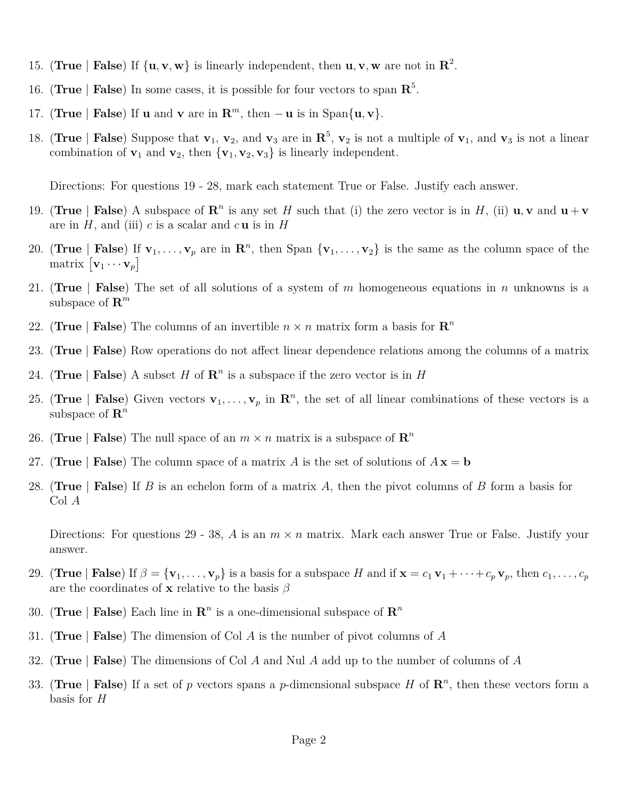- 15. (True | **False**) If  $\{u, v, w\}$  is linearly independent, then  $u, v, w$  are not in  $\mathbb{R}^2$ .
- 16. (**True** | **False**) In some cases, it is possible for four vectors to span **R** 5 .
- 17. (**True** | **False**) If **u** and **v** are in  $\mathbb{R}^m$ , then  $-\mathbf{u}$  is in Span{ $\mathbf{u}, \mathbf{v}$ }.
- 18. (**True** | **False**) Suppose that  $\mathbf{v}_1$ ,  $\mathbf{v}_2$ , and  $\mathbf{v}_3$  are in  $\mathbf{R}^5$ ,  $\mathbf{v}_2$  is not a multiple of  $\mathbf{v}_1$ , and  $\mathbf{v}_3$  is not a linear combination of  $\mathbf{v}_1$  and  $\mathbf{v}_2$ , then  $\{\mathbf{v}_1, \mathbf{v}_2, \mathbf{v}_3\}$  is linearly independent.

Directions: For questions 19 - 28, mark each statement True or False. Justify each answer.

- 19. (**True** | **False**) A subspace of  $\mathbb{R}^n$  is any set *H* such that (i) the zero vector is in *H*, (ii)  $\mathbf{u}, \mathbf{v}$  and  $\mathbf{u} + \mathbf{v}$ are in  $H$ , and (iii)  $c$  is a scalar and  $c$ **u** is in  $H$
- 20. (True | False) If  $\mathbf{v}_1, \ldots, \mathbf{v}_p$  are in  $\mathbf{R}^n$ , then Span  $\{\mathbf{v}_1, \ldots, \mathbf{v}_2\}$  is the same as the column space of the matrix  $\begin{bmatrix} \mathbf{v}_1 \cdots \mathbf{v}_p \end{bmatrix}$
- 21. (**True** | **False**) The set of all solutions of a system of *m* homogeneous equations in *n* unknowns is a subspace of **R** *m*
- 22. (True | False) The columns of an invertible  $n \times n$  matrix form a basis for  $\mathbb{R}^n$
- 23. (**True** | **False**) Row operations do not affect linear dependence relations among the columns of a matrix
- 24. (True | **False**) A subset *H* of  $\mathbb{R}^n$  is a subspace if the zero vector is in *H*
- 25. (True | False) Given vectors  $\mathbf{v}_1, \ldots, \mathbf{v}_p$  in  $\mathbb{R}^n$ , the set of all linear combinations of these vectors is a subspace of **R** *n*
- 26. (True | False) The null space of an  $m \times n$  matrix is a subspace of  $\mathbb{R}^n$
- 27. (True | False) The column space of a matrix A is the set of solutions of  $A\mathbf{x} = \mathbf{b}$
- 28. (**True** | **False**) If *B* is an echelon form of a matrix *A*, then the pivot columns of *B* form a basis for Col *A*

Directions: For questions 29 - 38, *A* is an *m* × *n* matrix. Mark each answer True or False. Justify your answer.

- 29. (True | False) If  $\beta = {\mathbf{v}_1, \dots, \mathbf{v}_p}$  is a basis for a subspace H and if  $\mathbf{x} = c_1 \mathbf{v}_1 + \dots + c_p \mathbf{v}_p$ , then  $c_1, \dots, c_p$ are the coordinates of **x** relative to the basis *β*
- 30. (True | False) Each line in  $\mathbb{R}^n$  is a one-dimensional subspace of  $\mathbb{R}^n$
- 31. (**True** | **False**) The dimension of Col *A* is the number of pivot columns of *A*
- 32. (**True** | **False**) The dimensions of Col *A* and Nul *A* add up to the number of columns of *A*
- 33. (True | False) If a set of p vectors spans a p-dimensional subspace H of  $\mathbb{R}^n$ , then these vectors form a basis for *H*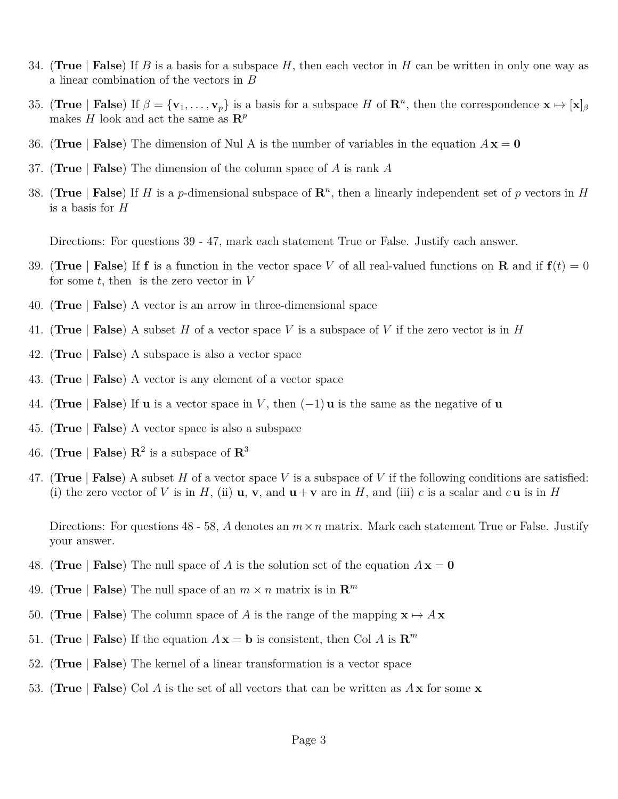- 34. (**True** | **False**) If *B* is a basis for a subspace *H*, then each vector in *H* can be written in only one way as a linear combination of the vectors in *B*
- 35. (True | False) If  $\beta = {\mathbf{v}_1, \ldots, \mathbf{v}_p}$  is a basis for a subspace *H* of  $\mathbb{R}^n$ , then the correspondence  $\mathbf{x} \mapsto [\mathbf{x}]_\beta$ makes *H* look and act the same as  $\mathbb{R}^p$
- 36. (**True** | **False**) The dimension of Nul A is the number of variables in the equation *A* **x** = **0**
- 37. (**True** | **False**) The dimension of the column space of *A* is rank *A*
- 38. (True | **False**) If *H* is a *p*-dimensional subspace of  $\mathbb{R}^n$ , then a linearly independent set of *p* vectors in *H* is a basis for *H*

Directions: For questions 39 - 47, mark each statement True or False. Justify each answer.

- 39. (True | **False**) If **f** is a function in the vector space *V* of all real-valued functions on **R** and if  $f(t) = 0$ for some *t*, then is the zero vector in *V*
- 40. (**True** | **False**) A vector is an arrow in three-dimensional space
- 41. (**True** | **False**) A subset *H* of a vector space *V* is a subspace of *V* if the zero vector is in *H*
- 42. (**True** | **False**) A subspace is also a vector space
- 43. (**True** | **False**) A vector is any element of a vector space
- 44. (**True** | **False**) If **u** is a vector space in *V*, then  $(-1)$ **u** is the same as the negative of **u**
- 45. (**True** | **False**) A vector space is also a subspace
- 46. (True | **False**)  $\mathbb{R}^2$  is a subspace of  $\mathbb{R}^3$
- 47. (**True** | **False**) A subset *H* of a vector space *V* is a subspace of *V* if the following conditions are satisfied: (i) the zero vector of V is in H, (ii)  $\mathbf{u}, \mathbf{v}$ , and  $\mathbf{u} + \mathbf{v}$  are in H, and (iii) c is a scalar and c  $\mathbf{u}$  is in H

Directions: For questions 48 - 58, *A* denotes an *m*×*n* matrix. Mark each statement True or False. Justify your answer.

- 48. (**True** | **False**) The null space of *A* is the solution set of the equation  $A\mathbf{x} = \mathbf{0}$
- 49. (True | False) The null space of an  $m \times n$  matrix is in  $\mathbb{R}^m$
- 50. (**True** | **False**) The column space of *A* is the range of the mapping  $\mathbf{x} \mapsto A\mathbf{x}$
- 51. (True | **False**) If the equation  $A\mathbf{x} = \mathbf{b}$  is consistent, then Col *A* is  $\mathbf{R}^m$
- 52. (**True** | **False**) The kernel of a linear transformation is a vector space
- 53. (**True** | **False**) Col *A* is the set of all vectors that can be written as *A* **x** for some **x**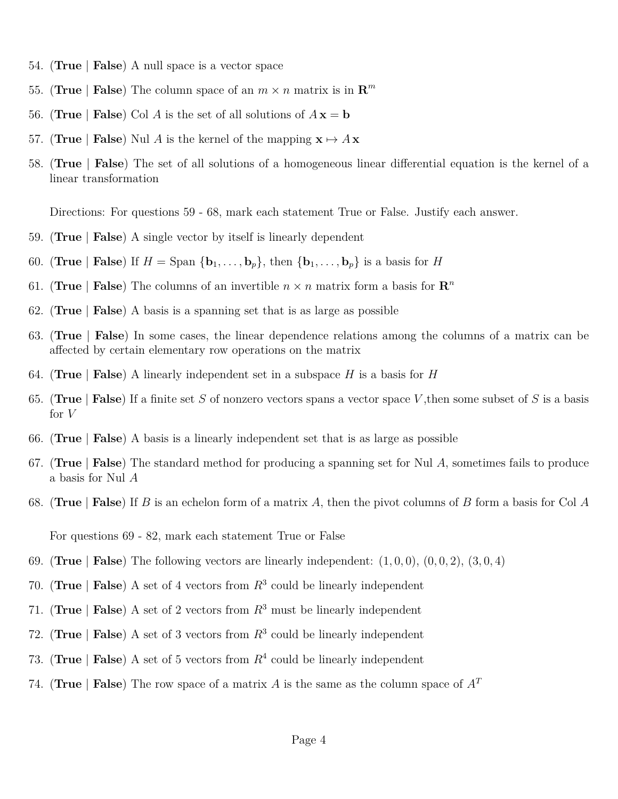- 54. (**True** | **False**) A null space is a vector space
- 55. (True | False) The column space of an  $m \times n$  matrix is in  $\mathbb{R}^m$
- 56. (**True** | **False**) Col *A* is the set of all solutions of  $A\mathbf{x} = \mathbf{b}$
- 57. (**True** | **False**) Nul *A* is the kernel of the mapping  $\mathbf{x} \mapsto A\mathbf{x}$
- 58. (**True** | **False**) The set of all solutions of a homogeneous linear differential equation is the kernel of a linear transformation

Directions: For questions 59 - 68, mark each statement True or False. Justify each answer.

- 59. (**True** | **False**) A single vector by itself is linearly dependent
- 60. (**True** | **False**) If  $H = \text{Span } \{b_1, \ldots, b_n\}$ , then  $\{b_1, \ldots, b_n\}$  is a basis for *H*
- 61. (True | False) The columns of an invertible  $n \times n$  matrix form a basis for  $\mathbb{R}^n$
- 62. (**True** | **False**) A basis is a spanning set that is as large as possible
- 63. (**True** | **False**) In some cases, the linear dependence relations among the columns of a matrix can be affected by certain elementary row operations on the matrix
- 64. (**True** | **False**) A linearly independent set in a subspace *H* is a basis for *H*
- 65. (**True** | **False**) If a finite set *S* of nonzero vectors spans a vector space *V* ,then some subset of *S* is a basis for *V*
- 66. (**True** | **False**) A basis is a linearly independent set that is as large as possible
- 67. (**True** | **False**) The standard method for producing a spanning set for Nul *A*, sometimes fails to produce a basis for Nul *A*
- 68. (**True** | **False**) If *B* is an echelon form of a matrix *A*, then the pivot columns of *B* form a basis for Col *A*

For questions 69 - 82, mark each statement True or False

- 69. (**True** | **False**) The following vectors are linearly independent: (1*,* 0*,* 0), (0*,* 0*,* 2), (3*,* 0*,* 4)
- 70. (**True** | **False**) A set of 4 vectors from  $R^3$  could be linearly independent
- 71. (**True** | **False**) A set of 2 vectors from *R*<sup>3</sup> must be linearly independent
- 72. (**True** | **False**) A set of 3 vectors from  $R^3$  could be linearly independent
- 73. (True | False) A set of 5 vectors from  $R<sup>4</sup>$  could be linearly independent
- 74. (**True** | **False**) The row space of a matrix *A* is the same as the column space of  $A<sup>T</sup>$